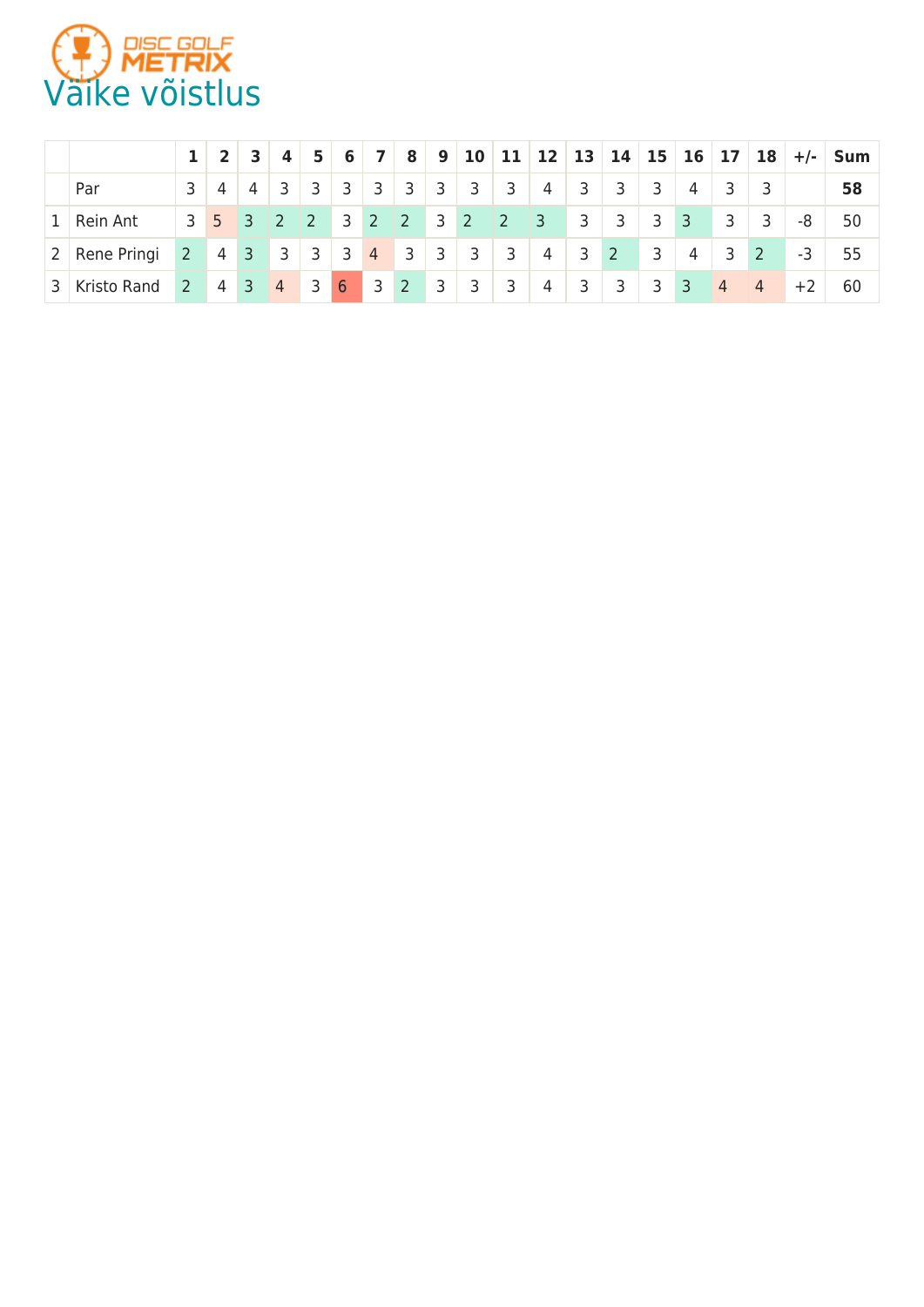

|       |               |                |                                                             | $\overline{\mathbf{3}}$ | $\overline{4}$             | $-5$                       | 6               | $\overline{7}$ | 8 <sub>1</sub> |                |                         |                         | 9 10 11 12 13 14 15 |   |                |                         |                | 16 17 18       |                | $+/-$ | <b>Sum</b> |
|-------|---------------|----------------|-------------------------------------------------------------|-------------------------|----------------------------|----------------------------|-----------------|----------------|----------------|----------------|-------------------------|-------------------------|---------------------|---|----------------|-------------------------|----------------|----------------|----------------|-------|------------|
|       | Par           | 3              | -4                                                          | $\sim$ 4                | $\overline{3}$             | $\overline{3}$             | $^{\circ}$ 3    | 3 <sub>1</sub> | $\overline{3}$ | $\overline{3}$ | $\overline{\mathbf{3}}$ | $\overline{\mathbf{3}}$ | 4                   | 3 | 3              | $\overline{\mathbf{3}}$ | 4              |                |                |       | 58         |
| $1^+$ | Rein Ant      | 3              | $5 \overline{\smash{\big)}\ 3}$                             |                         | $\vert$ 2                  | $\sqrt{2}$                 | $3 \mid 2 \mid$ |                | $\overline{2}$ | $3 \mid 2$     |                         | $\sqrt{2}$              | $\vert$ 3           | 3 | $\overline{3}$ | 1.3 <sub>h</sub>        | $\overline{3}$ | 3              | -3             | -8    | 50         |
|       | 2 Rene Pringi | 2 <sup>7</sup> | $\begin{array}{ c c c } \hline 4 & 3 \\ \hline \end{array}$ |                         | $\overline{\phantom{a}}$ 3 |                            | $3 \mid 3$      |                | $4 \quad 3$    | $\overline{3}$ | $\overline{\mathbf{3}}$ | $\overline{\mathbf{3}}$ | $\sim$ 4            | 3 | $2^{\circ}$    | $\overline{\mathbf{3}}$ | $\overline{4}$ | 3              | 2              | -3    | 55         |
| 3     | Kristo Rand   | $2^{\circ}$    | 4 3                                                         |                         | $\overline{4}$             | $\overline{\phantom{a}}$ 3 | 6               |                |                | $\overline{3}$ | $\overline{3}$          | $^{\prime}$ 3           | $\overline{4}$      | 3 | 3              | 3 <sup>7</sup>          | 3              | $\overline{4}$ | $\overline{4}$ | $+2$  | 60         |